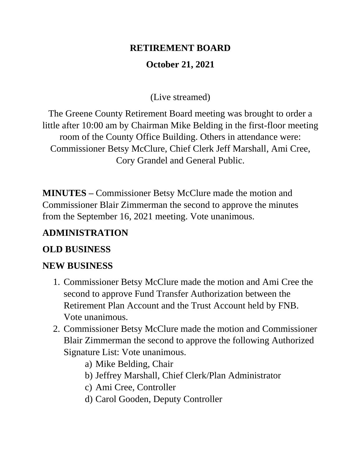# **RETIREMENT BOARD October 21, 2021**

(Live streamed)

The Greene County Retirement Board meeting was brought to order a little after 10:00 am by Chairman Mike Belding in the first-floor meeting room of the County Office Building. Others in attendance were: Commissioner Betsy McClure, Chief Clerk Jeff Marshall, Ami Cree, Cory Grandel and General Public.

**MINUTES –** Commissioner Betsy McClure made the motion and Commissioner Blair Zimmerman the second to approve the minutes from the September 16, 2021 meeting. Vote unanimous.

## **ADMINISTRATION**

#### **OLD BUSINESS**

#### **NEW BUSINESS**

- 1. Commissioner Betsy McClure made the motion and Ami Cree the second to approve Fund Transfer Authorization between the Retirement Plan Account and the Trust Account held by FNB. Vote unanimous.
- 2. Commissioner Betsy McClure made the motion and Commissioner Blair Zimmerman the second to approve the following Authorized Signature List: Vote unanimous.
	- a) Mike Belding, Chair
	- b) Jeffrey Marshall, Chief Clerk/Plan Administrator
	- c) Ami Cree, Controller
	- d) Carol Gooden, Deputy Controller